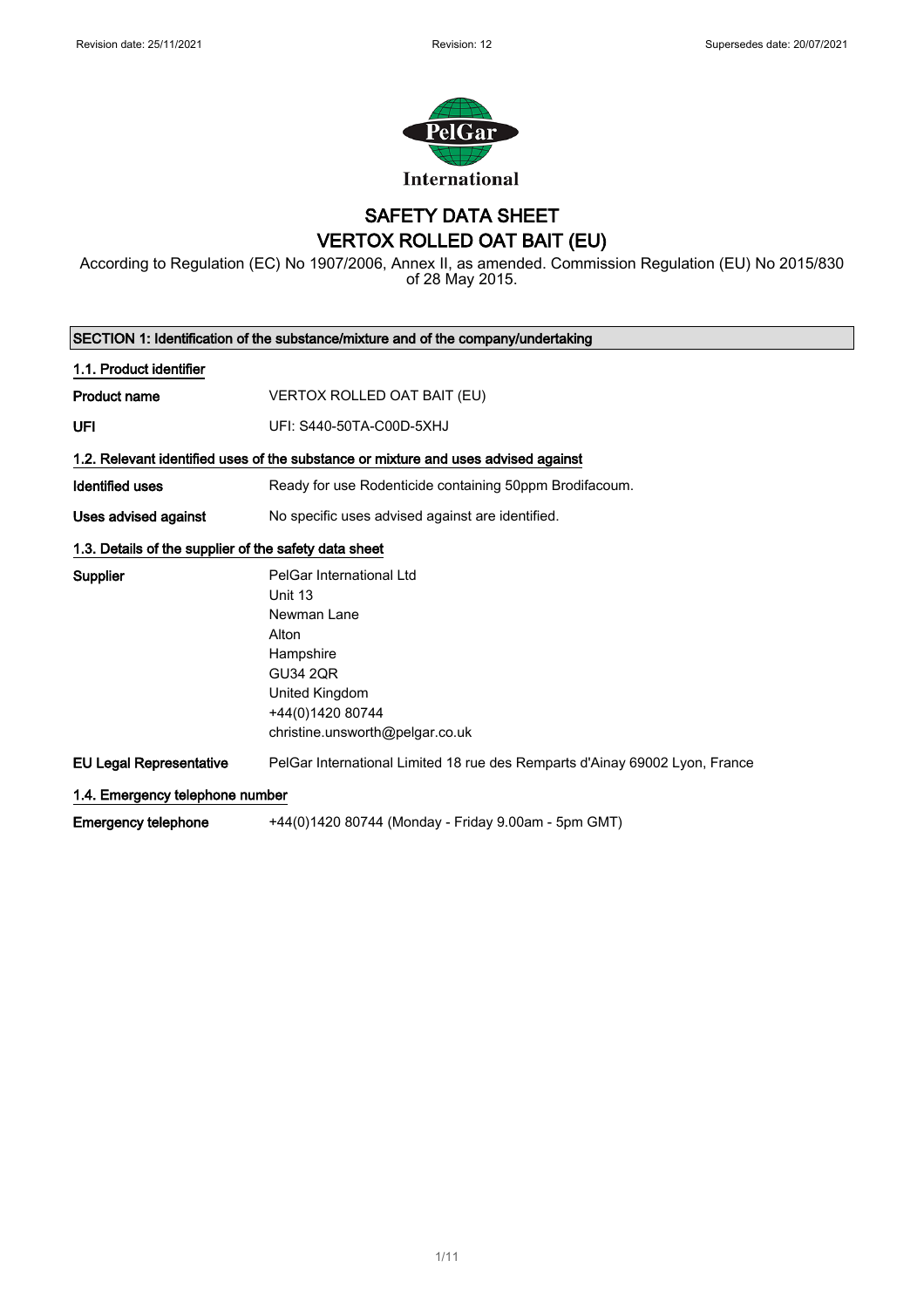

### SAFETY DATA SHEET VERTOX ROLLED OAT BAIT (EU)

According to Regulation (EC) No 1907/2006, Annex II, as amended. Commission Regulation (EU) No 2015/830 of 28 May 2015.

| SECTION 1: Identification of the substance/mixture and of the company/undertaking |                                                                                    |  |
|-----------------------------------------------------------------------------------|------------------------------------------------------------------------------------|--|
| 1.1. Product identifier                                                           |                                                                                    |  |
| <b>Product name</b>                                                               | VERTOX ROLLED OAT BAIT (EU)                                                        |  |
| UFI                                                                               | UFI: S440-50TA-C00D-5XHJ                                                           |  |
|                                                                                   | 1.2. Relevant identified uses of the substance or mixture and uses advised against |  |
| <b>Identified uses</b>                                                            | Ready for use Rodenticide containing 50ppm Brodifacoum.                            |  |
| Uses advised against                                                              | No specific uses advised against are identified.                                   |  |
| 1.3. Details of the supplier of the safety data sheet                             |                                                                                    |  |
| <b>Supplier</b>                                                                   | PelGar International Ltd                                                           |  |
|                                                                                   | Unit 13<br>Newman Lane                                                             |  |
|                                                                                   | Alton                                                                              |  |
|                                                                                   | Hampshire                                                                          |  |
|                                                                                   | <b>GU34 2QR</b>                                                                    |  |
|                                                                                   | United Kingdom                                                                     |  |
|                                                                                   | +44(0)1420 80744                                                                   |  |
|                                                                                   | christine.unsworth@pelgar.co.uk                                                    |  |
| <b>EU Legal Representative</b>                                                    | PelGar International Limited 18 rue des Remparts d'Ainay 69002 Lyon, France        |  |
| 1.4. Emergency telephone number                                                   |                                                                                    |  |
| <b>Emergency telephone</b>                                                        | +44(0)1420 80744 (Monday - Friday 9.00am - 5pm GMT)                                |  |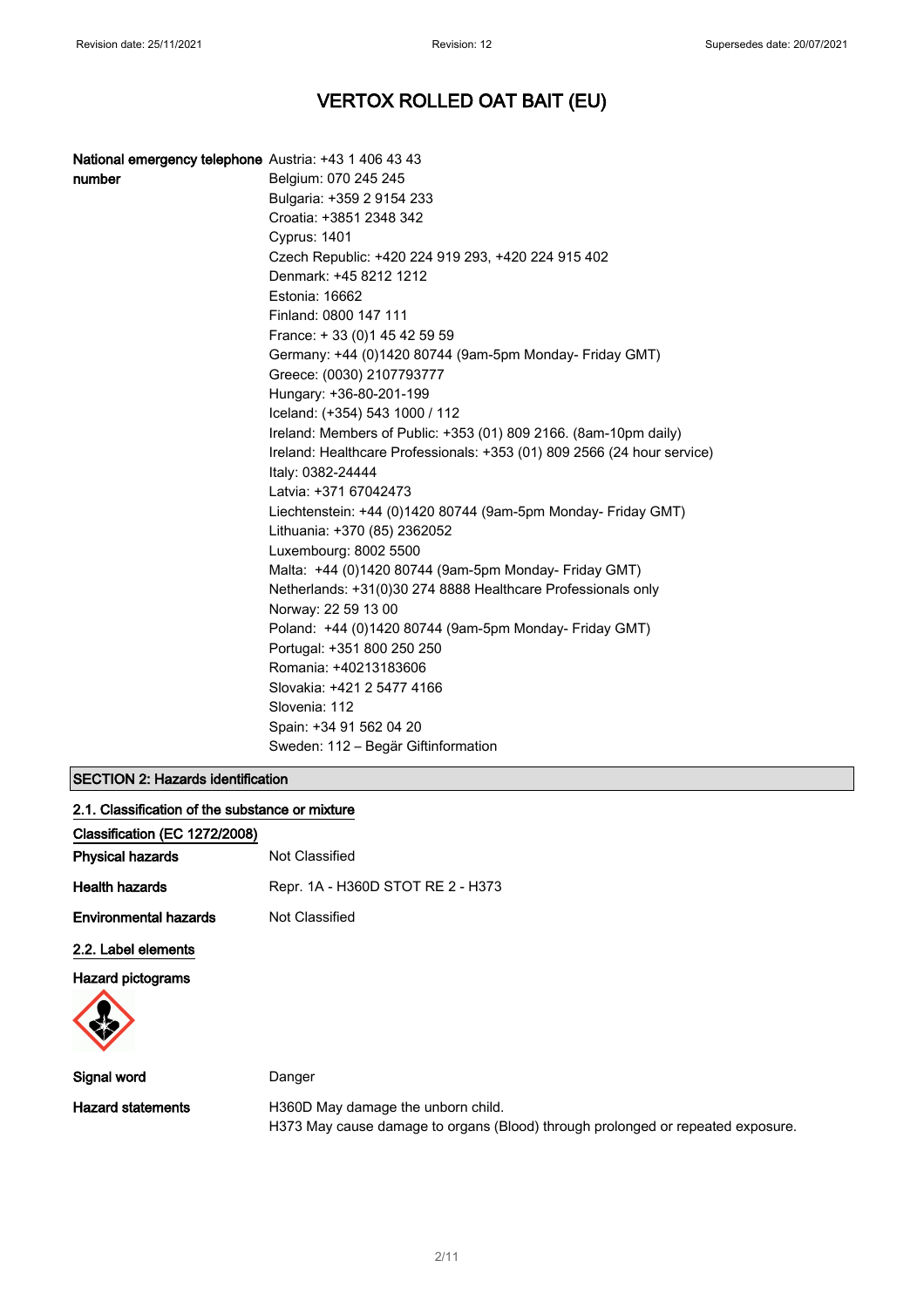| National emergency telephone Austria: +43 1 406 43 43 |                                                                         |
|-------------------------------------------------------|-------------------------------------------------------------------------|
| number                                                | Belgium: 070 245 245                                                    |
|                                                       | Bulgaria: +359 2 9154 233                                               |
|                                                       | Croatia: +3851 2348 342                                                 |
|                                                       | <b>Cyprus: 1401</b>                                                     |
|                                                       | Czech Republic: +420 224 919 293, +420 224 915 402                      |
|                                                       | Denmark: +45 8212 1212                                                  |
|                                                       | Estonia: 16662                                                          |
|                                                       | Finland: 0800 147 111                                                   |
|                                                       | France: +33 (0) 145 42 59 59                                            |
|                                                       | Germany: +44 (0)1420 80744 (9am-5pm Monday- Friday GMT)                 |
|                                                       | Greece: (0030) 2107793777                                               |
|                                                       | Hungary: +36-80-201-199                                                 |
|                                                       | Iceland: (+354) 543 1000 / 112                                          |
|                                                       | Ireland: Members of Public: +353 (01) 809 2166. (8am-10pm daily)        |
|                                                       | Ireland: Healthcare Professionals: +353 (01) 809 2566 (24 hour service) |
|                                                       | Italy: 0382-24444                                                       |
|                                                       | Latvia: +371 67042473                                                   |
|                                                       | Liechtenstein: +44 (0)1420 80744 (9am-5pm Monday- Friday GMT)           |
|                                                       | Lithuania: +370 (85) 2362052                                            |
|                                                       | Luxembourg: 8002 5500                                                   |
|                                                       | Malta: +44 (0)1420 80744 (9am-5pm Monday- Friday GMT)                   |
|                                                       | Netherlands: +31(0)30 274 8888 Healthcare Professionals only            |
|                                                       | Norway: 22 59 13 00                                                     |
|                                                       | Poland: +44 (0)1420 80744 (9am-5pm Monday- Friday GMT)                  |
|                                                       | Portugal: +351 800 250 250                                              |
|                                                       | Romania: +40213183606                                                   |
|                                                       | Slovakia: +421 2 5477 4166                                              |
|                                                       | Slovenia: 112                                                           |
|                                                       | Spain: +34 91 562 04 20                                                 |
|                                                       | Sweden: 112 – Begär Giftinformation                                     |

### SECTION 2: Hazards identification

| 2.1. Classification of the substance or mixture |                                   |  |
|-------------------------------------------------|-----------------------------------|--|
| Classification (EC 1272/2008)                   |                                   |  |
| <b>Physical hazards</b>                         | Not Classified                    |  |
| <b>Health hazards</b>                           | Repr. 1A - H360D STOT RE 2 - H373 |  |
| <b>Environmental hazards</b>                    | Not Classified                    |  |
| 2.2. Label elements                             |                                   |  |
| <b>Hazard pictograms</b>                        |                                   |  |

| Signal word       | Danger                                                                          |
|-------------------|---------------------------------------------------------------------------------|
| Hazard statements | H360D May damage the unborn child.                                              |
|                   | H373 May cause damage to organs (Blood) through prolonged or repeated exposure. |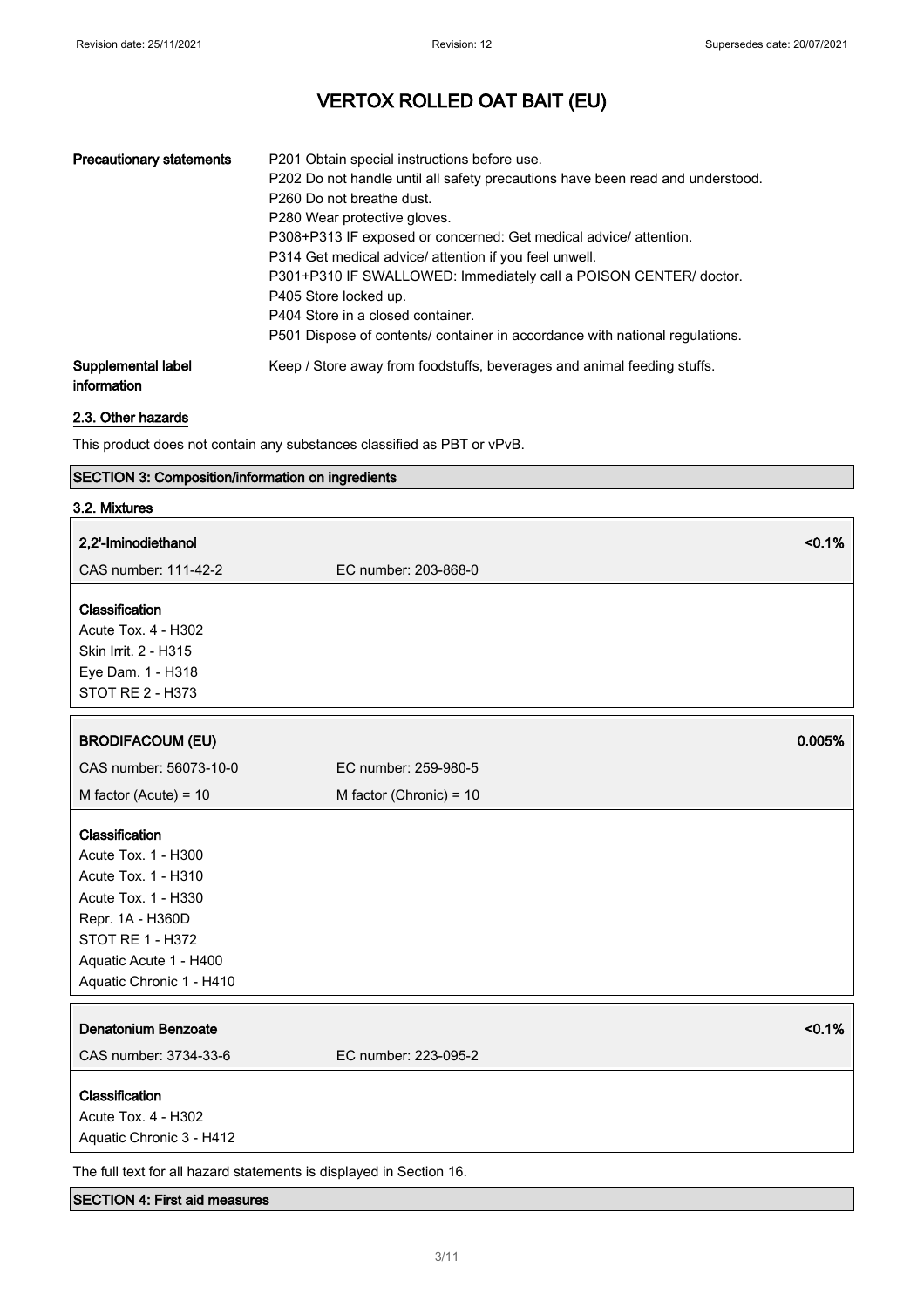| <b>Precautionary statements</b>   | P201 Obtain special instructions before use.<br>P202 Do not handle until all safety precautions have been read and understood.<br>P <sub>260</sub> Do not breathe dust.<br>P280 Wear protective gloves.<br>P308+P313 IF exposed or concerned: Get medical advice/ attention.<br>P314 Get medical advice/ attention if you feel unwell.<br>P301+P310 IF SWALLOWED: Immediately call a POISON CENTER/ doctor.<br>P405 Store locked up.<br>P404 Store in a closed container.<br>P501 Dispose of contents/ container in accordance with national regulations. |
|-----------------------------------|-----------------------------------------------------------------------------------------------------------------------------------------------------------------------------------------------------------------------------------------------------------------------------------------------------------------------------------------------------------------------------------------------------------------------------------------------------------------------------------------------------------------------------------------------------------|
| Supplemental label<br>information | Keep / Store away from foodstuffs, beverages and animal feeding stuffs.                                                                                                                                                                                                                                                                                                                                                                                                                                                                                   |

### 2.3. Other hazards

This product does not contain any substances classified as PBT or vPvB.

### SECTION 3: Composition/information on ingredients

| 3.2. Mixtures                                                                                                                                                                     |                           |        |
|-----------------------------------------------------------------------------------------------------------------------------------------------------------------------------------|---------------------------|--------|
| 2,2'-Iminodiethanol                                                                                                                                                               |                           | < 0.1% |
| CAS number: 111-42-2                                                                                                                                                              | EC number: 203-868-0      |        |
| Classification<br>Acute Tox. 4 - H302<br>Skin Irrit. 2 - H315<br>Eye Dam. 1 - H318<br>STOT RE 2 - H373                                                                            |                           |        |
| <b>BRODIFACOUM (EU)</b>                                                                                                                                                           |                           | 0.005% |
| CAS number: 56073-10-0                                                                                                                                                            | EC number: 259-980-5      |        |
| M factor (Acute) = $10$                                                                                                                                                           | M factor (Chronic) = $10$ |        |
| Classification<br>Acute Tox. 1 - H300<br>Acute Tox. 1 - H310<br>Acute Tox. 1 - H330<br>Repr. 1A - H360D<br>STOT RE 1 - H372<br>Aquatic Acute 1 - H400<br>Aquatic Chronic 1 - H410 |                           |        |
| <b>Denatonium Benzoate</b><br>CAS number: 3734-33-6                                                                                                                               | EC number: 223-095-2      | < 0.1% |
| Classification<br>Acute Tox. 4 - H302<br>Aquatic Chronic 3 - H412                                                                                                                 |                           |        |
| The full text for all hazard statements is displayed in Section 16.                                                                                                               |                           |        |

### SECTION 4: First aid measures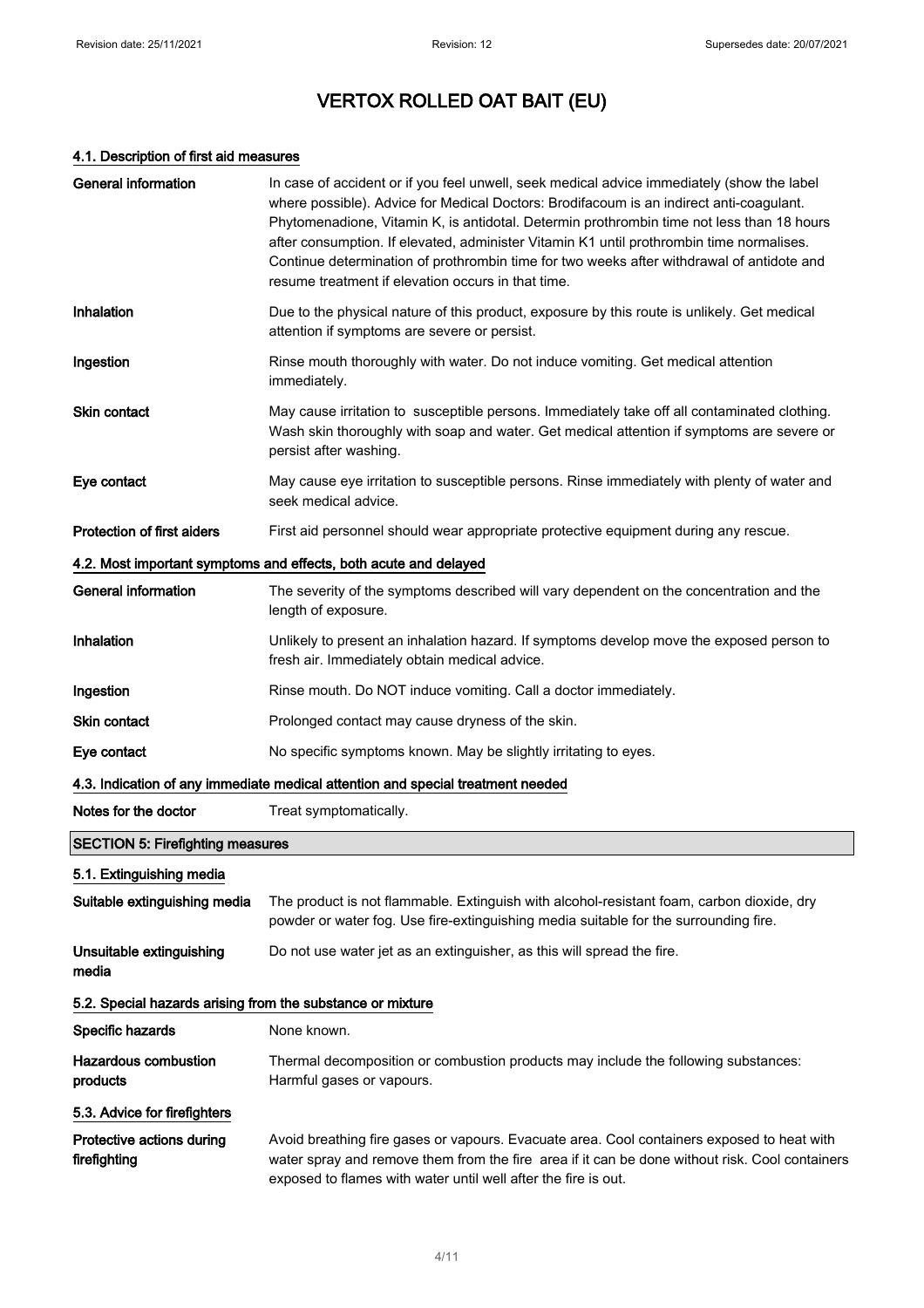### 4.1. Description of first aid measures

| <b>General information</b>                                       | In case of accident or if you feel unwell, seek medical advice immediately (show the label<br>where possible). Advice for Medical Doctors: Brodifacoum is an indirect anti-coagulant.<br>Phytomenadione, Vitamin K, is antidotal. Determin prothrombin time not less than 18 hours<br>after consumption. If elevated, administer Vitamin K1 until prothrombin time normalises.<br>Continue determination of prothrombin time for two weeks after withdrawal of antidote and<br>resume treatment if elevation occurs in that time. |  |
|------------------------------------------------------------------|-----------------------------------------------------------------------------------------------------------------------------------------------------------------------------------------------------------------------------------------------------------------------------------------------------------------------------------------------------------------------------------------------------------------------------------------------------------------------------------------------------------------------------------|--|
| Inhalation                                                       | Due to the physical nature of this product, exposure by this route is unlikely. Get medical<br>attention if symptoms are severe or persist.                                                                                                                                                                                                                                                                                                                                                                                       |  |
| Ingestion                                                        | Rinse mouth thoroughly with water. Do not induce vomiting. Get medical attention<br>immediately.                                                                                                                                                                                                                                                                                                                                                                                                                                  |  |
| <b>Skin contact</b>                                              | May cause irritation to susceptible persons. Immediately take off all contaminated clothing.<br>Wash skin thoroughly with soap and water. Get medical attention if symptoms are severe or<br>persist after washing.                                                                                                                                                                                                                                                                                                               |  |
| Eye contact                                                      | May cause eye irritation to susceptible persons. Rinse immediately with plenty of water and<br>seek medical advice.                                                                                                                                                                                                                                                                                                                                                                                                               |  |
| Protection of first aiders                                       | First aid personnel should wear appropriate protective equipment during any rescue.                                                                                                                                                                                                                                                                                                                                                                                                                                               |  |
| 4.2. Most important symptoms and effects, both acute and delayed |                                                                                                                                                                                                                                                                                                                                                                                                                                                                                                                                   |  |
| <b>General information</b>                                       | The severity of the symptoms described will vary dependent on the concentration and the<br>length of exposure.                                                                                                                                                                                                                                                                                                                                                                                                                    |  |
| Inhalation                                                       | Unlikely to present an inhalation hazard. If symptoms develop move the exposed person to<br>fresh air. Immediately obtain medical advice.                                                                                                                                                                                                                                                                                                                                                                                         |  |
| Ingestion                                                        | Rinse mouth. Do NOT induce vomiting. Call a doctor immediately.                                                                                                                                                                                                                                                                                                                                                                                                                                                                   |  |
| <b>Skin contact</b>                                              | Prolonged contact may cause dryness of the skin.                                                                                                                                                                                                                                                                                                                                                                                                                                                                                  |  |
| Eye contact                                                      | No specific symptoms known. May be slightly irritating to eyes.                                                                                                                                                                                                                                                                                                                                                                                                                                                                   |  |
|                                                                  | 4.3. Indication of any immediate medical attention and special treatment needed                                                                                                                                                                                                                                                                                                                                                                                                                                                   |  |
| Notes for the doctor                                             | Treat symptomatically.                                                                                                                                                                                                                                                                                                                                                                                                                                                                                                            |  |
| <b>SECTION 5: Firefighting measures</b>                          |                                                                                                                                                                                                                                                                                                                                                                                                                                                                                                                                   |  |
| 5.1. Extinguishing media                                         |                                                                                                                                                                                                                                                                                                                                                                                                                                                                                                                                   |  |
| Suitable extinguishing media                                     | The product is not flammable. Extinguish with alcohol-resistant foam, carbon dioxide, dry<br>powder or water fog. Use fire-extinguishing media suitable for the surrounding fire.                                                                                                                                                                                                                                                                                                                                                 |  |
| Unsuitable extinguishing<br>media                                | Do not use water jet as an extinguisher, as this will spread the fire.                                                                                                                                                                                                                                                                                                                                                                                                                                                            |  |
| 5.2. Special hazards arising from the substance or mixture       |                                                                                                                                                                                                                                                                                                                                                                                                                                                                                                                                   |  |
| Specific hazards                                                 | None known.                                                                                                                                                                                                                                                                                                                                                                                                                                                                                                                       |  |
| <b>Hazardous combustion</b><br>products                          | Thermal decomposition or combustion products may include the following substances:<br>Harmful gases or vapours.                                                                                                                                                                                                                                                                                                                                                                                                                   |  |
| 5.3. Advice for firefighters                                     |                                                                                                                                                                                                                                                                                                                                                                                                                                                                                                                                   |  |
| Protective actions during<br>firefighting                        | Avoid breathing fire gases or vapours. Evacuate area. Cool containers exposed to heat with<br>water spray and remove them from the fire area if it can be done without risk. Cool containers<br>exposed to flames with water until well after the fire is out.                                                                                                                                                                                                                                                                    |  |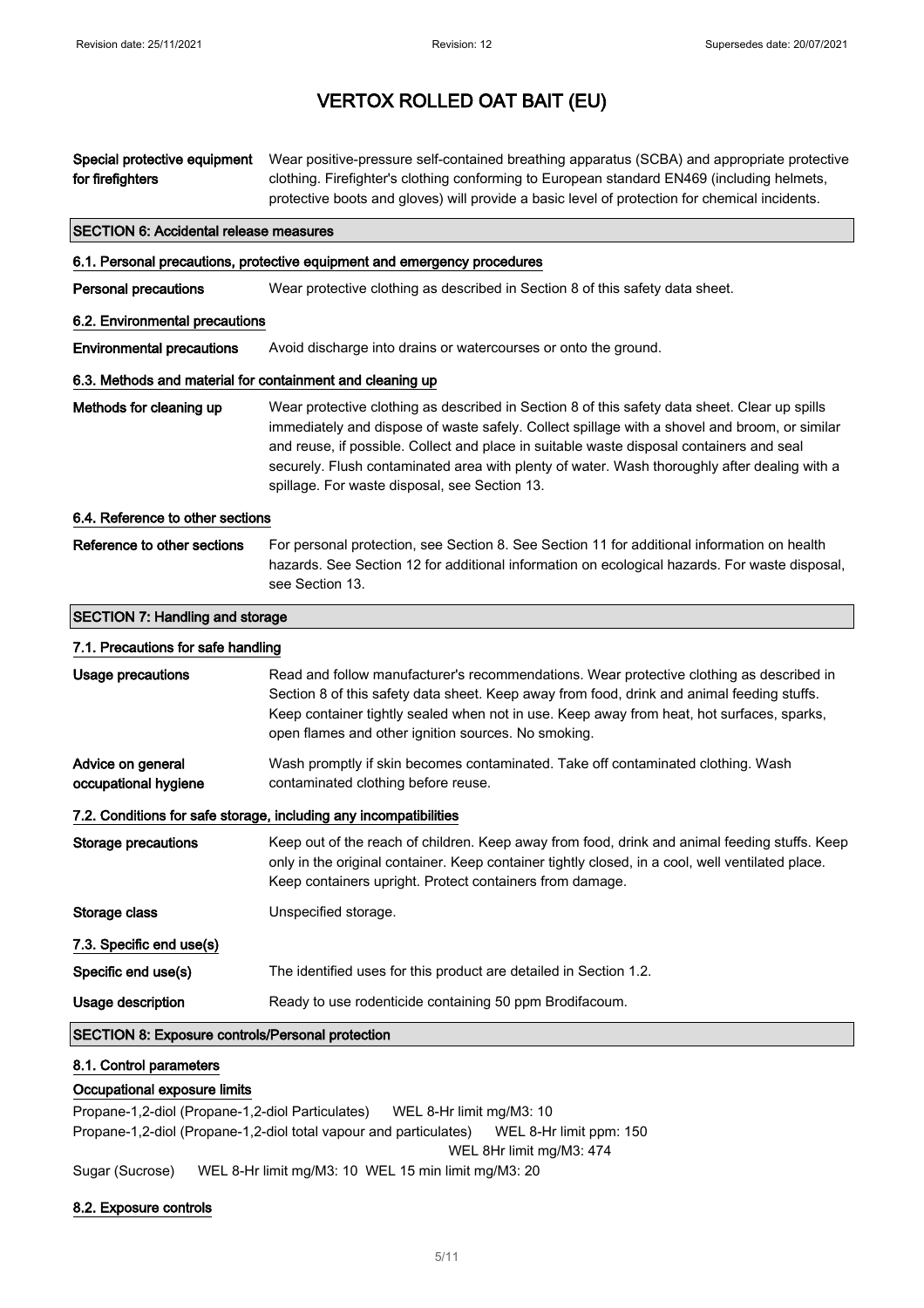| Special protective equipment<br>for firefighters          | Wear positive-pressure self-contained breathing apparatus (SCBA) and appropriate protective<br>clothing. Firefighter's clothing conforming to European standard EN469 (including helmets,<br>protective boots and gloves) will provide a basic level of protection for chemical incidents.                                                                                                                                                  |
|-----------------------------------------------------------|---------------------------------------------------------------------------------------------------------------------------------------------------------------------------------------------------------------------------------------------------------------------------------------------------------------------------------------------------------------------------------------------------------------------------------------------|
| <b>SECTION 6: Accidental release measures</b>             |                                                                                                                                                                                                                                                                                                                                                                                                                                             |
|                                                           | 6.1. Personal precautions, protective equipment and emergency procedures                                                                                                                                                                                                                                                                                                                                                                    |
| <b>Personal precautions</b>                               | Wear protective clothing as described in Section 8 of this safety data sheet.                                                                                                                                                                                                                                                                                                                                                               |
| 6.2. Environmental precautions                            |                                                                                                                                                                                                                                                                                                                                                                                                                                             |
| <b>Environmental precautions</b>                          | Avoid discharge into drains or watercourses or onto the ground.                                                                                                                                                                                                                                                                                                                                                                             |
| 6.3. Methods and material for containment and cleaning up |                                                                                                                                                                                                                                                                                                                                                                                                                                             |
| Methods for cleaning up                                   | Wear protective clothing as described in Section 8 of this safety data sheet. Clear up spills<br>immediately and dispose of waste safely. Collect spillage with a shovel and broom, or similar<br>and reuse, if possible. Collect and place in suitable waste disposal containers and seal<br>securely. Flush contaminated area with plenty of water. Wash thoroughly after dealing with a<br>spillage. For waste disposal, see Section 13. |
| 6.4. Reference to other sections                          |                                                                                                                                                                                                                                                                                                                                                                                                                                             |
| Reference to other sections                               | For personal protection, see Section 8. See Section 11 for additional information on health<br>hazards. See Section 12 for additional information on ecological hazards. For waste disposal,<br>see Section 13.                                                                                                                                                                                                                             |
| <b>SECTION 7: Handling and storage</b>                    |                                                                                                                                                                                                                                                                                                                                                                                                                                             |
| 7.1. Precautions for safe handling                        |                                                                                                                                                                                                                                                                                                                                                                                                                                             |
| Usage precautions                                         | Read and follow manufacturer's recommendations. Wear protective clothing as described in<br>Section 8 of this safety data sheet. Keep away from food, drink and animal feeding stuffs.<br>Keep container tightly sealed when not in use. Keep away from heat, hot surfaces, sparks,<br>open flames and other ignition sources. No smoking.                                                                                                  |
| Advice on general<br>occupational hygiene                 | Wash promptly if skin becomes contaminated. Take off contaminated clothing. Wash<br>contaminated clothing before reuse.                                                                                                                                                                                                                                                                                                                     |
|                                                           | 7.2. Conditions for safe storage, including any incompatibilities                                                                                                                                                                                                                                                                                                                                                                           |
| <b>Storage precautions</b>                                | Keep out of the reach of children. Keep away from food, drink and animal feeding stuffs. Keep<br>only in the original container. Keep container tightly closed, in a cool, well ventilated place.<br>Keep containers upright. Protect containers from damage.                                                                                                                                                                               |
| Storage class                                             | Unspecified storage.                                                                                                                                                                                                                                                                                                                                                                                                                        |
| 7.3. Specific end use(s)                                  |                                                                                                                                                                                                                                                                                                                                                                                                                                             |
| Specific end use(s)                                       | The identified uses for this product are detailed in Section 1.2.                                                                                                                                                                                                                                                                                                                                                                           |
| Usage description                                         | Ready to use rodenticide containing 50 ppm Brodifacoum.                                                                                                                                                                                                                                                                                                                                                                                     |
| SECTION 8: Exposure controls/Personal protection          |                                                                                                                                                                                                                                                                                                                                                                                                                                             |
| 8.1. Control parameters                                   |                                                                                                                                                                                                                                                                                                                                                                                                                                             |

### Occupational exposure limits

Propane-1,2-diol (Propane-1,2-diol Particulates) WEL 8-Hr limit mg/M3: 10 Propane-1,2-diol (Propane-1,2-diol total vapour and particulates) WEL 8-Hr limit ppm: 150 WEL 8Hr limit mg/M3: 474 Sugar (Sucrose) WEL 8-Hr limit mg/M3: 10 WEL 15 min limit mg/M3: 20

### 8.2. Exposure controls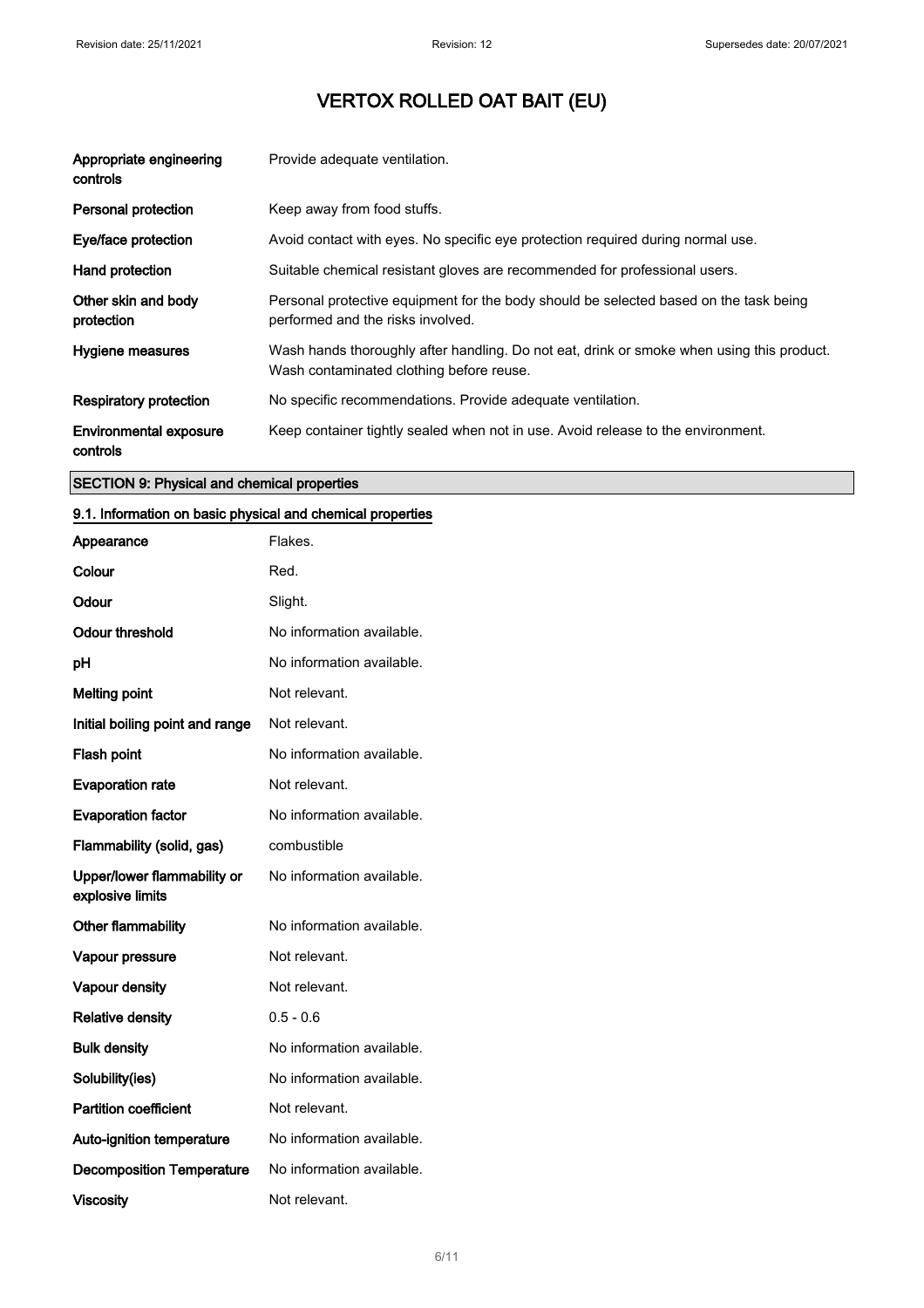| Appropriate engineering<br>controls       | Provide adequate ventilation.                                                                                                         |
|-------------------------------------------|---------------------------------------------------------------------------------------------------------------------------------------|
| Personal protection                       | Keep away from food stuffs.                                                                                                           |
| Eye/face protection                       | Avoid contact with eyes. No specific eye protection required during normal use.                                                       |
| Hand protection                           | Suitable chemical resistant gloves are recommended for professional users.                                                            |
| Other skin and body<br>protection         | Personal protective equipment for the body should be selected based on the task being<br>performed and the risks involved.            |
| Hygiene measures                          | Wash hands thoroughly after handling. Do not eat, drink or smoke when using this product.<br>Wash contaminated clothing before reuse. |
| <b>Respiratory protection</b>             | No specific recommendations. Provide adequate ventilation.                                                                            |
| <b>Environmental exposure</b><br>controls | Keep container tightly sealed when not in use. Avoid release to the environment.                                                      |

### SECTION 9: Physical and chemical properties

### 9.1. Information on basic physical and chemical properties

| Appearance                                      | Flakes.                   |
|-------------------------------------------------|---------------------------|
| Colour                                          | Red.                      |
| Odour                                           | Slight.                   |
| <b>Odour threshold</b>                          | No information available. |
| рH                                              | No information available. |
| <b>Melting point</b>                            | Not relevant.             |
| Initial boiling point and range                 | Not relevant.             |
| Flash point                                     | No information available. |
| <b>Evaporation rate</b>                         | Not relevant.             |
| <b>Evaporation factor</b>                       | No information available. |
| Flammability (solid, gas)                       | combustible               |
| Upper/lower flammability or<br>explosive limits | No information available. |
| Other flammability                              | No information available. |
| Vapour pressure                                 | Not relevant.             |
| Vapour density                                  | Not relevant.             |
| <b>Relative density</b>                         | $0.5 - 0.6$               |
| <b>Bulk density</b>                             | No information available. |
| Solubility(ies)                                 | No information available. |
| <b>Partition coefficient</b>                    | Not relevant.             |
| Auto-ignition temperature                       | No information available. |
| <b>Decomposition Temperature</b>                | No information available. |
| <b>Viscosity</b>                                | Not relevant.             |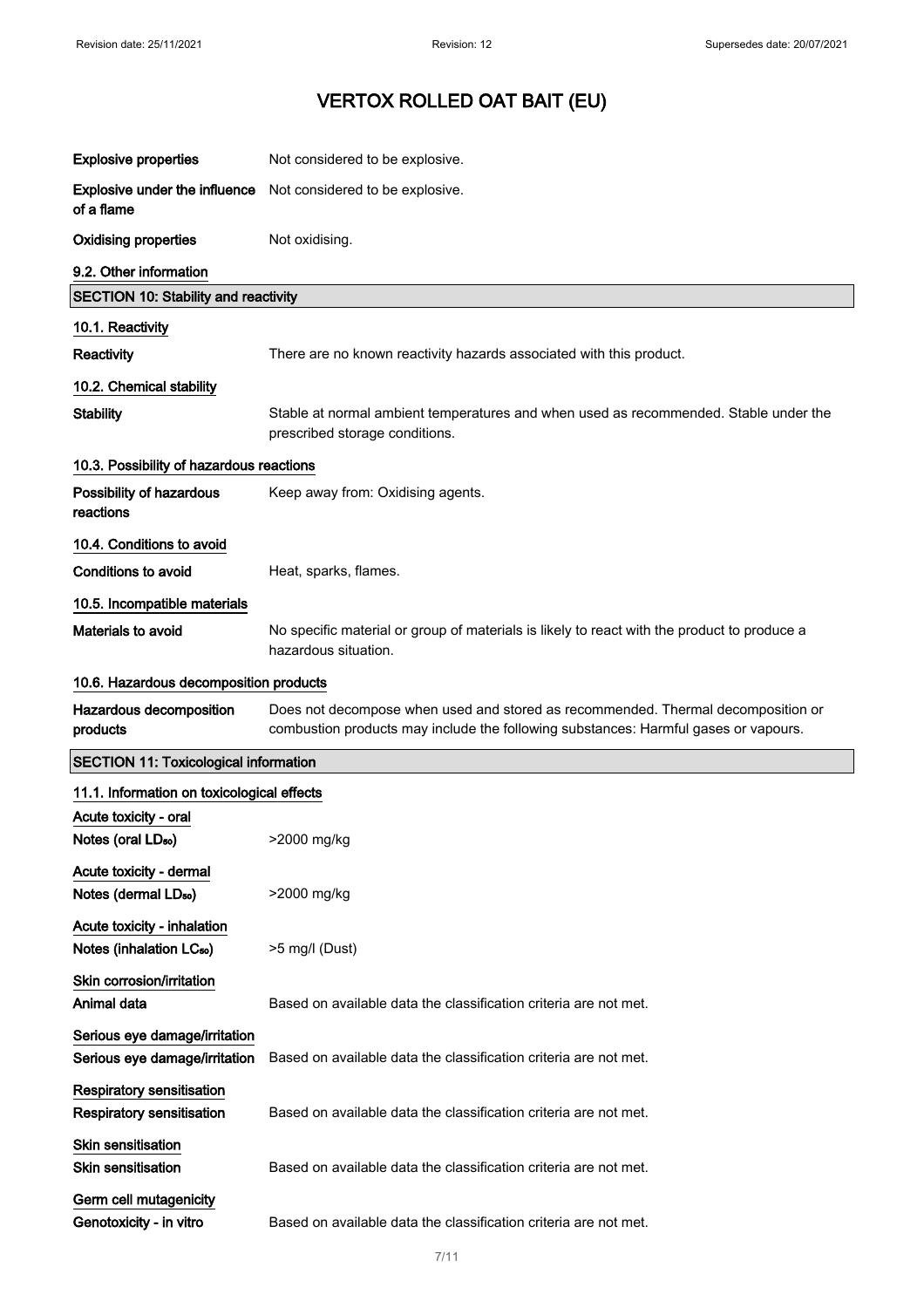| <b>Explosive properties</b>                                          | Not considered to be explosive.                                                                                                                                         |
|----------------------------------------------------------------------|-------------------------------------------------------------------------------------------------------------------------------------------------------------------------|
| <b>Explosive under the influence</b><br>of a flame                   | Not considered to be explosive.                                                                                                                                         |
| <b>Oxidising properties</b>                                          | Not oxidising.                                                                                                                                                          |
| 9.2. Other information                                               |                                                                                                                                                                         |
| <b>SECTION 10: Stability and reactivity</b>                          |                                                                                                                                                                         |
| 10.1. Reactivity                                                     |                                                                                                                                                                         |
| Reactivity                                                           | There are no known reactivity hazards associated with this product.                                                                                                     |
| 10.2. Chemical stability                                             |                                                                                                                                                                         |
| <b>Stability</b>                                                     | Stable at normal ambient temperatures and when used as recommended. Stable under the<br>prescribed storage conditions.                                                  |
| 10.3. Possibility of hazardous reactions                             |                                                                                                                                                                         |
| Possibility of hazardous<br>reactions                                | Keep away from: Oxidising agents.                                                                                                                                       |
| 10.4. Conditions to avoid                                            |                                                                                                                                                                         |
| Conditions to avoid                                                  | Heat, sparks, flames.                                                                                                                                                   |
| 10.5. Incompatible materials                                         |                                                                                                                                                                         |
| Materials to avoid                                                   | No specific material or group of materials is likely to react with the product to produce a<br>hazardous situation.                                                     |
| 10.6. Hazardous decomposition products                               |                                                                                                                                                                         |
| Hazardous decomposition<br>products                                  | Does not decompose when used and stored as recommended. Thermal decomposition or<br>combustion products may include the following substances: Harmful gases or vapours. |
| <b>SECTION 11: Toxicological information</b>                         |                                                                                                                                                                         |
| 11.1. Information on toxicological effects                           |                                                                                                                                                                         |
| Acute toxicity - oral<br>Notes (oral LD <sub>50</sub> )              | >2000 mg/kg                                                                                                                                                             |
| Acute toxicity - dermal<br>Notes (dermal LD <sub>50</sub> )          | >2000 mg/kg                                                                                                                                                             |
| Acute toxicity - inhalation<br>Notes (inhalation LC <sub>50</sub> )  | >5 mg/l (Dust)                                                                                                                                                          |
| Skin corrosion/irritation<br>Animal data                             | Based on available data the classification criteria are not met.                                                                                                        |
| Serious eye damage/irritation<br>Serious eye damage/irritation       | Based on available data the classification criteria are not met.                                                                                                        |
| <b>Respiratory sensitisation</b><br><b>Respiratory sensitisation</b> | Based on available data the classification criteria are not met.                                                                                                        |
| Skin sensitisation<br><b>Skin sensitisation</b>                      | Based on available data the classification criteria are not met.                                                                                                        |
| Germ cell mutagenicity<br>Genotoxicity - in vitro                    | Based on available data the classification criteria are not met.                                                                                                        |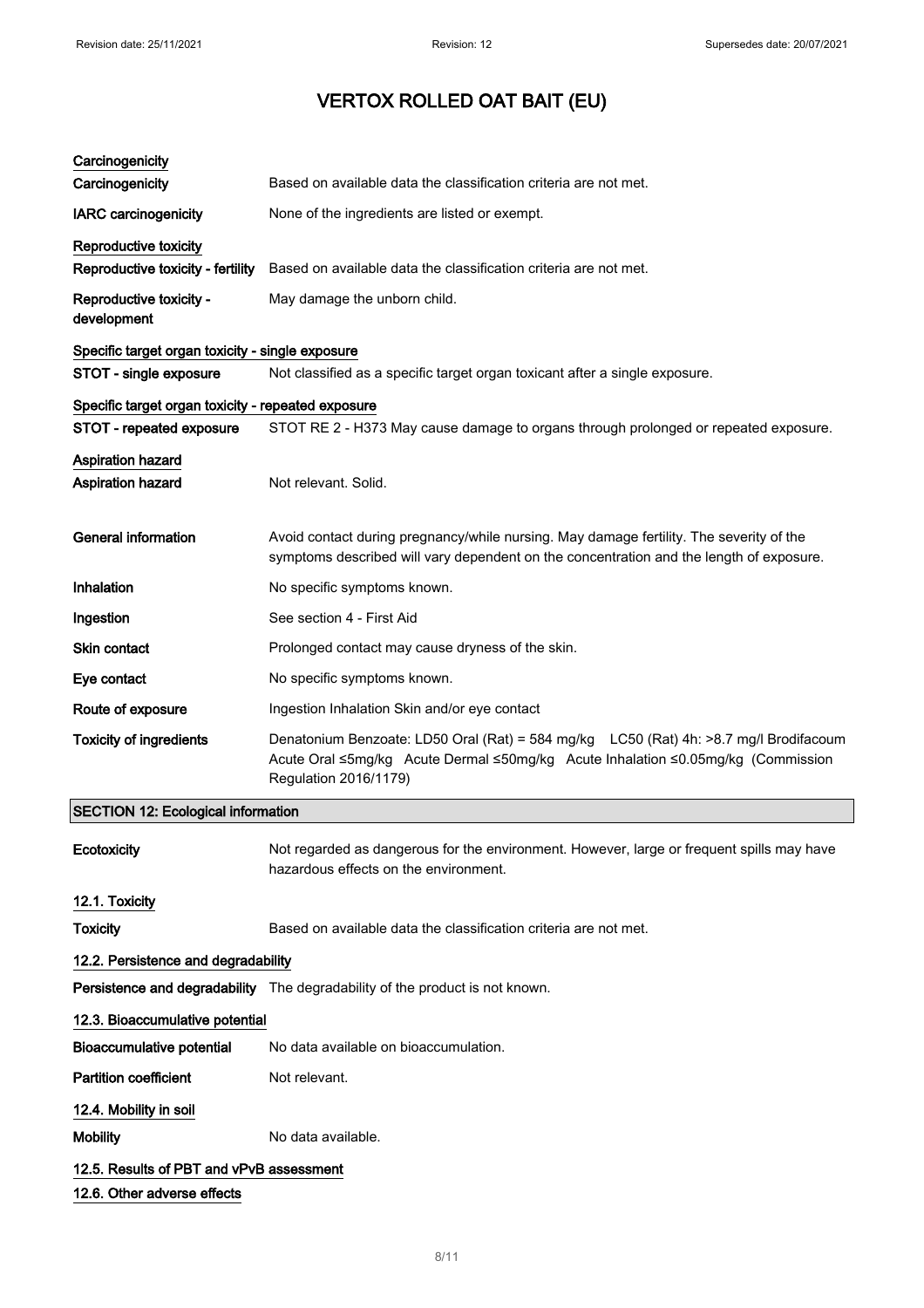| Carcinogenicity<br>Carcinogenicity                         | Based on available data the classification criteria are not met.                                                                                                                                   |  |
|------------------------------------------------------------|----------------------------------------------------------------------------------------------------------------------------------------------------------------------------------------------------|--|
| <b>IARC</b> carcinogenicity                                | None of the ingredients are listed or exempt.                                                                                                                                                      |  |
|                                                            |                                                                                                                                                                                                    |  |
| Reproductive toxicity<br>Reproductive toxicity - fertility | Based on available data the classification criteria are not met.                                                                                                                                   |  |
| Reproductive toxicity -<br>development                     | May damage the unborn child.                                                                                                                                                                       |  |
| Specific target organ toxicity - single exposure           |                                                                                                                                                                                                    |  |
| STOT - single exposure                                     | Not classified as a specific target organ toxicant after a single exposure.                                                                                                                        |  |
| Specific target organ toxicity - repeated exposure         |                                                                                                                                                                                                    |  |
| STOT - repeated exposure                                   | STOT RE 2 - H373 May cause damage to organs through prolonged or repeated exposure.                                                                                                                |  |
| Aspiration hazard<br>Aspiration hazard                     | Not relevant. Solid.                                                                                                                                                                               |  |
| <b>General information</b>                                 | Avoid contact during pregnancy/while nursing. May damage fertility. The severity of the<br>symptoms described will vary dependent on the concentration and the length of exposure.                 |  |
| Inhalation                                                 | No specific symptoms known.                                                                                                                                                                        |  |
| Ingestion                                                  | See section 4 - First Aid                                                                                                                                                                          |  |
| <b>Skin contact</b>                                        | Prolonged contact may cause dryness of the skin.                                                                                                                                                   |  |
| Eye contact                                                | No specific symptoms known.                                                                                                                                                                        |  |
| Route of exposure                                          | Ingestion Inhalation Skin and/or eye contact                                                                                                                                                       |  |
| <b>Toxicity of ingredients</b>                             | Denatonium Benzoate: LD50 Oral (Rat) = 584 mg/kg LC50 (Rat) 4h: >8.7 mg/l Brodifacoum<br>Acute Oral ≤5mg/kg Acute Dermal ≤50mg/kg Acute Inhalation ≤0.05mg/kg (Commission<br>Regulation 2016/1179) |  |
| <b>SECTION 12: Ecological information</b>                  |                                                                                                                                                                                                    |  |
| Ecotoxicity                                                | Not regarded as dangerous for the environment. However, large or frequent spills may have<br>hazardous effects on the environment.                                                                 |  |
| 12.1. Toxicity                                             |                                                                                                                                                                                                    |  |
| <b>Toxicity</b>                                            | Based on available data the classification criteria are not met.                                                                                                                                   |  |
| 12.2. Persistence and degradability                        |                                                                                                                                                                                                    |  |
|                                                            | Persistence and degradability The degradability of the product is not known.                                                                                                                       |  |
| 12.3. Bioaccumulative potential                            |                                                                                                                                                                                                    |  |
| <b>Bioaccumulative potential</b>                           | No data available on bioaccumulation.                                                                                                                                                              |  |
| <b>Partition coefficient</b>                               | Not relevant.                                                                                                                                                                                      |  |
| 12.4. Mobility in soil                                     |                                                                                                                                                                                                    |  |
| <b>Mobility</b>                                            | No data available.                                                                                                                                                                                 |  |
| 12.5. Results of PBT and vPvB assessment                   |                                                                                                                                                                                                    |  |
| 12.6. Other adverse effects                                |                                                                                                                                                                                                    |  |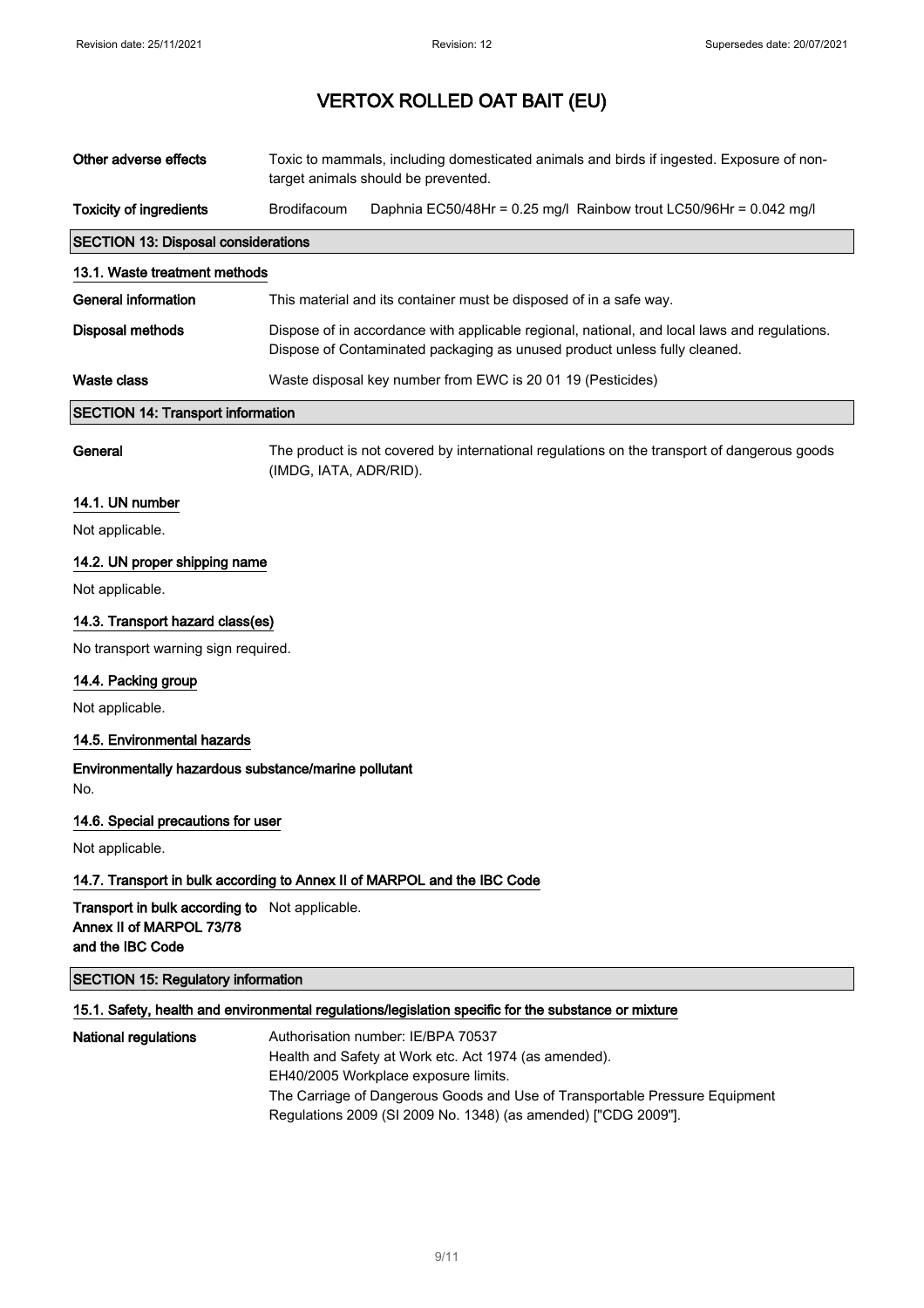| Other adverse effects                                                                          | Toxic to mammals, including domesticated animals and birds if ingested. Exposure of non-<br>target animals should be prevented.                                           |                                                                                                                                                                                                                                                                                      |  |
|------------------------------------------------------------------------------------------------|---------------------------------------------------------------------------------------------------------------------------------------------------------------------------|--------------------------------------------------------------------------------------------------------------------------------------------------------------------------------------------------------------------------------------------------------------------------------------|--|
| <b>Toxicity of ingredients</b>                                                                 | Brodifacoum                                                                                                                                                               | Daphnia EC50/48Hr = 0.25 mg/l Rainbow trout LC50/96Hr = 0.042 mg/l                                                                                                                                                                                                                   |  |
| <b>SECTION 13: Disposal considerations</b>                                                     |                                                                                                                                                                           |                                                                                                                                                                                                                                                                                      |  |
| 13.1. Waste treatment methods                                                                  |                                                                                                                                                                           |                                                                                                                                                                                                                                                                                      |  |
| <b>General information</b>                                                                     | This material and its container must be disposed of in a safe way.                                                                                                        |                                                                                                                                                                                                                                                                                      |  |
| <b>Disposal methods</b>                                                                        | Dispose of in accordance with applicable regional, national, and local laws and regulations.<br>Dispose of Contaminated packaging as unused product unless fully cleaned. |                                                                                                                                                                                                                                                                                      |  |
| <b>Waste class</b>                                                                             | Waste disposal key number from EWC is 20 01 19 (Pesticides)                                                                                                               |                                                                                                                                                                                                                                                                                      |  |
| <b>SECTION 14: Transport information</b>                                                       |                                                                                                                                                                           |                                                                                                                                                                                                                                                                                      |  |
| General                                                                                        | The product is not covered by international regulations on the transport of dangerous goods<br>(IMDG, IATA, ADR/RID).                                                     |                                                                                                                                                                                                                                                                                      |  |
| 14.1. UN number                                                                                |                                                                                                                                                                           |                                                                                                                                                                                                                                                                                      |  |
| Not applicable.                                                                                |                                                                                                                                                                           |                                                                                                                                                                                                                                                                                      |  |
| 14.2. UN proper shipping name                                                                  |                                                                                                                                                                           |                                                                                                                                                                                                                                                                                      |  |
| Not applicable.                                                                                |                                                                                                                                                                           |                                                                                                                                                                                                                                                                                      |  |
| 14.3. Transport hazard class(es)                                                               |                                                                                                                                                                           |                                                                                                                                                                                                                                                                                      |  |
| No transport warning sign required.                                                            |                                                                                                                                                                           |                                                                                                                                                                                                                                                                                      |  |
| 14.4. Packing group                                                                            |                                                                                                                                                                           |                                                                                                                                                                                                                                                                                      |  |
| Not applicable.                                                                                |                                                                                                                                                                           |                                                                                                                                                                                                                                                                                      |  |
| 14.5. Environmental hazards                                                                    |                                                                                                                                                                           |                                                                                                                                                                                                                                                                                      |  |
| Environmentally hazardous substance/marine pollutant<br>No.                                    |                                                                                                                                                                           |                                                                                                                                                                                                                                                                                      |  |
| 14.6. Special precautions for user                                                             |                                                                                                                                                                           |                                                                                                                                                                                                                                                                                      |  |
| Not applicable.                                                                                |                                                                                                                                                                           |                                                                                                                                                                                                                                                                                      |  |
| 14.7. Transport in bulk according to Annex II of MARPOL and the IBC Code                       |                                                                                                                                                                           |                                                                                                                                                                                                                                                                                      |  |
| Transport in bulk according to Not applicable.<br>Annex II of MARPOL 73/78<br>and the IBC Code |                                                                                                                                                                           |                                                                                                                                                                                                                                                                                      |  |
| <b>SECTION 15: Regulatory information</b>                                                      |                                                                                                                                                                           |                                                                                                                                                                                                                                                                                      |  |
|                                                                                                |                                                                                                                                                                           | 15.1. Safety, health and environmental regulations/legislation specific for the substance or mixture                                                                                                                                                                                 |  |
| <b>National regulations</b>                                                                    |                                                                                                                                                                           | Authorisation number: IE/BPA 70537<br>Health and Safety at Work etc. Act 1974 (as amended).<br>EH40/2005 Workplace exposure limits.<br>The Carriage of Dangerous Goods and Use of Transportable Pressure Equipment<br>Regulations 2009 (SI 2009 No. 1348) (as amended) ["CDG 2009"]. |  |

9/ 11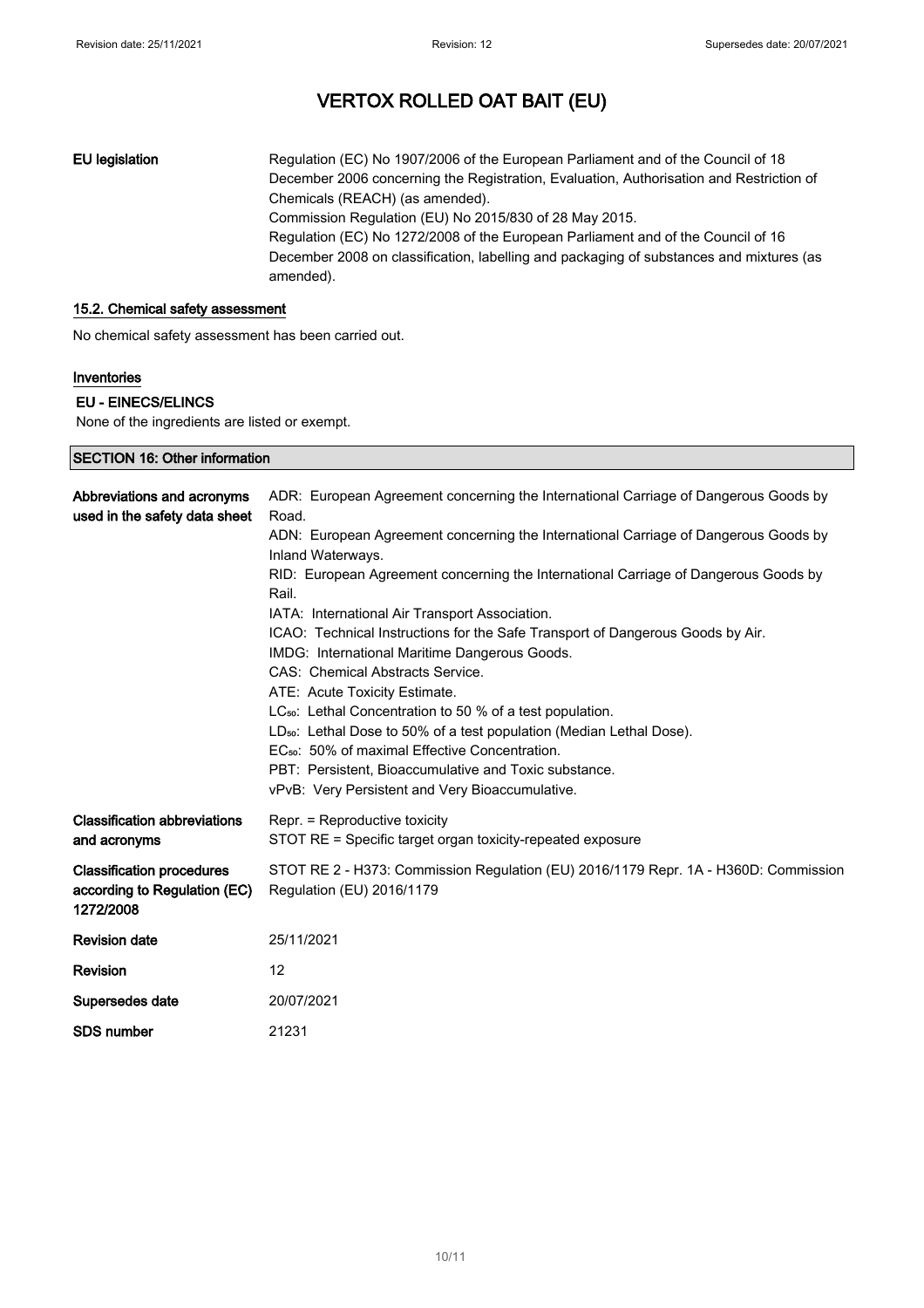EU legislation Regulation (EC) No 1907/2006 of the European Parliament and of the Council of 18 December 2006 concerning the Registration, Evaluation, Authorisation and Restriction of Chemicals (REACH) (as amended). Commission Regulation (EU) No 2015/830 of 28 May 2015. Regulation (EC) No 1272/2008 of the European Parliament and of the Council of 16 December 2008 on classification, labelling and packaging of substances and mixtures (as amended).

#### 15.2. Chemical safety assessment

No chemical safety assessment has been carried out.

#### Inventories

#### EU - EINECS/ELINCS

None of the ingredients are listed or exempt.

| <b>SECTION 16: Other information</b>                                          |                                                                                                                                                                                                                                                                                                                                                                                                                                                                                                                                                                                                        |  |  |
|-------------------------------------------------------------------------------|--------------------------------------------------------------------------------------------------------------------------------------------------------------------------------------------------------------------------------------------------------------------------------------------------------------------------------------------------------------------------------------------------------------------------------------------------------------------------------------------------------------------------------------------------------------------------------------------------------|--|--|
| Abbreviations and acronyms<br>used in the safety data sheet                   | ADR: European Agreement concerning the International Carriage of Dangerous Goods by<br>Road.<br>ADN: European Agreement concerning the International Carriage of Dangerous Goods by<br>Inland Waterways.<br>RID: European Agreement concerning the International Carriage of Dangerous Goods by                                                                                                                                                                                                                                                                                                        |  |  |
|                                                                               | Rail.<br>IATA: International Air Transport Association.<br>ICAO: Technical Instructions for the Safe Transport of Dangerous Goods by Air.<br>IMDG: International Maritime Dangerous Goods.<br>CAS: Chemical Abstracts Service.<br>ATE: Acute Toxicity Estimate.<br>LC <sub>50</sub> : Lethal Concentration to 50 % of a test population.<br>LD <sub>50</sub> : Lethal Dose to 50% of a test population (Median Lethal Dose).<br>EC <sub>50</sub> : 50% of maximal Effective Concentration.<br>PBT: Persistent, Bioaccumulative and Toxic substance.<br>vPvB: Very Persistent and Very Bioaccumulative. |  |  |
| <b>Classification abbreviations</b><br>and acronyms                           | Repr. = Reproductive toxicity<br>STOT RE = Specific target organ toxicity-repeated exposure                                                                                                                                                                                                                                                                                                                                                                                                                                                                                                            |  |  |
| <b>Classification procedures</b><br>according to Regulation (EC)<br>1272/2008 | STOT RE 2 - H373: Commission Regulation (EU) 2016/1179 Repr. 1A - H360D: Commission<br>Regulation (EU) 2016/1179                                                                                                                                                                                                                                                                                                                                                                                                                                                                                       |  |  |
| <b>Revision date</b>                                                          | 25/11/2021                                                                                                                                                                                                                                                                                                                                                                                                                                                                                                                                                                                             |  |  |
| <b>Revision</b>                                                               | 12                                                                                                                                                                                                                                                                                                                                                                                                                                                                                                                                                                                                     |  |  |
| Supersedes date                                                               | 20/07/2021                                                                                                                                                                                                                                                                                                                                                                                                                                                                                                                                                                                             |  |  |
| <b>SDS number</b>                                                             | 21231                                                                                                                                                                                                                                                                                                                                                                                                                                                                                                                                                                                                  |  |  |